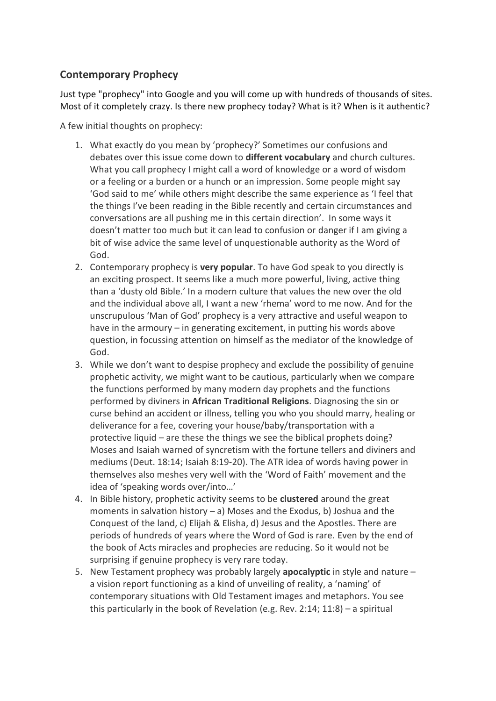# **Contemporary Prophecy**

Just type "prophecy" into Google and you will come up with hundreds of thousands of sites. Most of it completely crazy. Is there new prophecy today? What is it? When is it authentic?

A few initial thoughts on prophecy:

- 1. What exactly do you mean by 'prophecy?' Sometimes our confusions and debates over this issue come down to **different vocabulary** and church cultures. What you call prophecy I might call a word of knowledge or a word of wisdom or a feeling or a burden or a hunch or an impression. Some people might say 'God said to me' while others might describe the same experience as 'I feel that the things I've been reading in the Bible recently and certain circumstances and conversations are all pushing me in this certain direction'. In some ways it doesn't matter too much but it can lead to confusion or danger if I am giving a bit of wise advice the same level of unquestionable authority as the Word of God.
- 2. Contemporary prophecy is **very popular**. To have God speak to you directly is an exciting prospect. It seems like a much more powerful, living, active thing than a 'dusty old Bible.' In a modern culture that values the new over the old and the individual above all, I want a new 'rhema' word to me now. And for the unscrupulous 'Man of God' prophecy is a very attractive and useful weapon to have in the armoury – in generating excitement, in putting his words above question, in focussing attention on himself as the mediator of the knowledge of God.
- 3. While we don't want to despise prophecy and exclude the possibility of genuine prophetic activity, we might want to be cautious, particularly when we compare the functions performed by many modern day prophets and the functions performed by diviners in **African Traditional Religions**. Diagnosing the sin or curse behind an accident or illness, telling you who you should marry, healing or deliverance for a fee, covering your house/baby/transportation with a protective liquid – are these the things we see the biblical prophets doing? Moses and Isaiah warned of syncretism with the fortune tellers and diviners and mediums (Deut. 18:14; Isaiah 8:19-20). The ATR idea of words having power in themselves also meshes very well with the 'Word of Faith' movement and the idea of 'speaking words over/into…'
- 4. In Bible history, prophetic activity seems to be **clustered** around the great moments in salvation history – a) Moses and the Exodus, b) Joshua and the Conquest of the land, c) Elijah & Elisha, d) Jesus and the Apostles. There are periods of hundreds of years where the Word of God is rare. Even by the end of the book of Acts miracles and prophecies are reducing. So it would not be surprising if genuine prophecy is very rare today.
- 5. New Testament prophecy was probably largely **apocalyptic** in style and nature a vision report functioning as a kind of unveiling of reality, a 'naming' of contemporary situations with Old Testament images and metaphors. You see this particularly in the book of Revelation (e.g. Rev. 2:14; 11:8) – a spiritual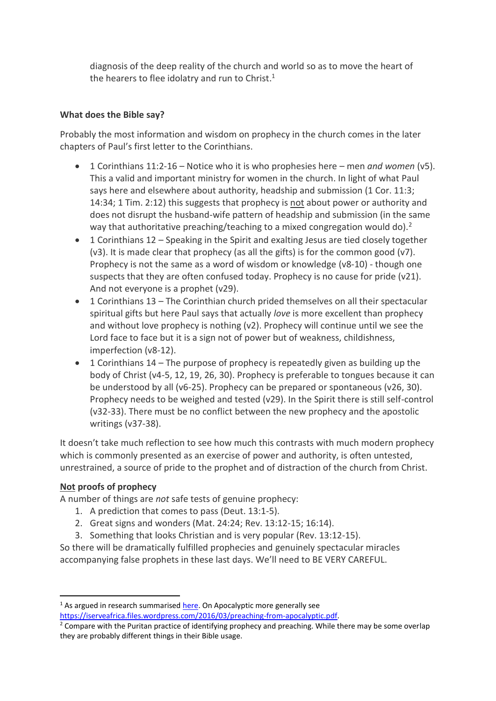diagnosis of the deep reality of the church and world so as to move the heart of the hearers to flee idolatry and run to Christ.<sup>1</sup>

#### **What does the Bible say?**

Probably the most information and wisdom on prophecy in the church comes in the later chapters of Paul's first letter to the Corinthians.

- 1 Corinthians 11:2-16 Notice who it is who prophesies here men *and women* (v5). This a valid and important ministry for women in the church. In light of what Paul says here and elsewhere about authority, headship and submission (1 Cor. 11:3; 14:34; 1 Tim. 2:12) this suggests that prophecy is not about power or authority and does not disrupt the husband-wife pattern of headship and submission (in the same way that authoritative preaching/teaching to a mixed congregation would do).<sup>2</sup>
- 1 Corinthians 12 Speaking in the Spirit and exalting Jesus are tied closely together (v3). It is made clear that prophecy (as all the gifts) is for the common good (v7). Prophecy is not the same as a word of wisdom or knowledge (v8-10) - though one suspects that they are often confused today. Prophecy is no cause for pride (v21). And not everyone is a prophet (v29).
- 1 Corinthians 13 The Corinthian church prided themselves on all their spectacular spiritual gifts but here Paul says that actually *love* is more excellent than prophecy and without love prophecy is nothing (v2). Prophecy will continue until we see the Lord face to face but it is a sign not of power but of weakness, childishness, imperfection (v8-12).
- $\bullet$  1 Corinthians 14 The purpose of prophecy is repeatedly given as building up the body of Christ (v4-5, 12, 19, 26, 30). Prophecy is preferable to tongues because it can be understood by all (v6-25). Prophecy can be prepared or spontaneous (v26, 30). Prophecy needs to be weighed and tested (v29). In the Spirit there is still self-control (v32-33). There must be no conflict between the new prophecy and the apostolic writings (v37-38).

It doesn't take much reflection to see how much this contrasts with much modern prophecy which is commonly presented as an exercise of power and authority, is often untested, unrestrained, a source of pride to the prophet and of distraction of the church from Christ.

#### **Not proofs of prophecy**

**.** 

A number of things are *not* safe tests of genuine prophecy:

- 1. A prediction that comes to pass (Deut. 13:1-5).
- 2. Great signs and wonders (Mat. 24:24; Rev. 13:12-15; 16:14).
- 3. Something that looks Christian and is very popular (Rev. 13:12-15).

So there will be dramatically fulfilled prophecies and genuinely spectacular miracles accompanying false prophets in these last days. We'll need to BE VERY CAREFUL.

 $1$  As argued in research summarised [here.](http://www.tyndalehouse.com/Bulletin/62=2011/10_Harker.pdf) On Apocalyptic more generally see [https://iserveafrica.files.wordpress.com/2016/03/preaching-from-apocalyptic.pdf.](https://iserveafrica.files.wordpress.com/2016/03/preaching-from-apocalyptic.pdf)

<sup>&</sup>lt;sup>2</sup> Compare with the Puritan practice of identifying prophecy and preaching. While there may be some overlap they are probably different things in their Bible usage.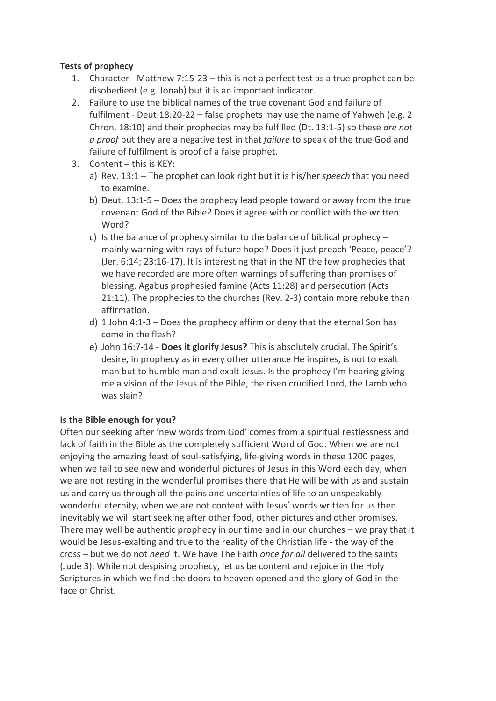### **Tests of prophecy**

- 1. Character Matthew 7:15-23 this is not a perfect test as a true prophet can be disobedient (e.g. Jonah) but it is an important indicator.
- 2. Failure to use the biblical names of the true covenant God and failure of fulfilment - Deut.18:20-22 – false prophets may use the name of Yahweh (e.g. 2 Chron. 18:10) and their prophecies may be fulfilled (Dt. 13:1-5) so these *are not a proof* but they are a negative test in that *failure* to speak of the true God and failure of fulfilment is proof of a false prophet.
- 3. Content this is KEY:
	- a) Rev. 13:1 The prophet can look right but it is his/her *speech* that you need to examine.
	- b) Deut. 13:1-5 Does the prophecy lead people toward or away from the true covenant God of the Bible? Does it agree with or conflict with the written Word?
	- c) Is the balance of prophecy similar to the balance of biblical prophecy mainly warning with rays of future hope? Does it just preach 'Peace, peace'? (Jer. 6:14; 23:16-17). It is interesting that in the NT the few prophecies that we have recorded are more often warnings of suffering than promises of blessing. Agabus prophesied famine (Acts 11:28) and persecution (Acts 21:11). The prophecies to the churches (Rev. 2-3) contain more rebuke than affirmation.
	- d) 1 John 4:1-3 Does the prophecy affirm or deny that the eternal Son has come in the flesh?
	- e) John 16:7-14 **Does it glorify Jesus?** This is absolutely crucial. The Spirit's desire, in prophecy as in every other utterance He inspires, is not to exalt man but to humble man and exalt Jesus. Is the prophecy I'm hearing giving me a vision of the Jesus of the Bible, the risen crucified Lord, the Lamb who was slain?

## **Is the Bible enough for you?**

Often our seeking after 'new words from God' comes from a spiritual restlessness and lack of faith in the Bible as the completely sufficient Word of God. When we are not enjoying the amazing feast of soul-satisfying, life-giving words in these 1200 pages, when we fail to see new and wonderful pictures of Jesus in this Word each day, when we are not resting in the wonderful promises there that He will be with us and sustain us and carry us through all the pains and uncertainties of life to an unspeakably wonderful eternity, when we are not content with Jesus' words written for us then inevitably we will start seeking after other food, other pictures and other promises. There may well be authentic prophecy in our time and in our churches – we pray that it would be Jesus-exalting and true to the reality of the Christian life - the way of the cross – but we do not *need* it. We have The Faith *once for all* delivered to the saints (Jude 3). While not despising prophecy, let us be content and rejoice in the Holy Scriptures in which we find the doors to heaven opened and the glory of God in the face of Christ.